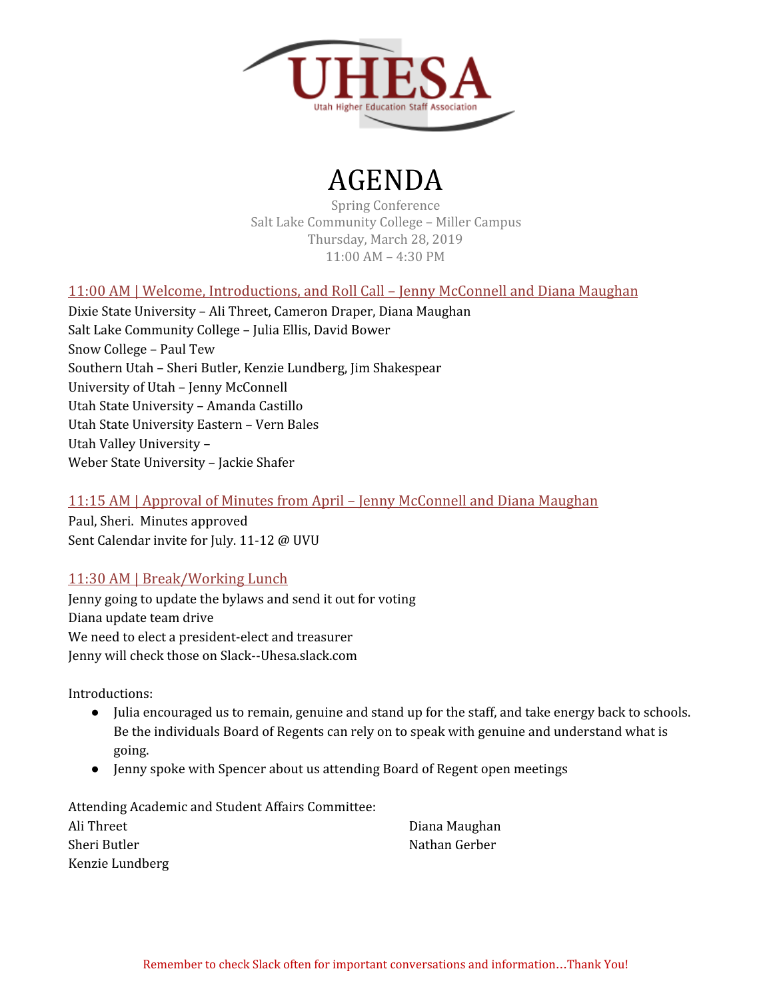

# AGENDA

Spring Conference Salt Lake Community College – Miller Campus Thursday, March 28, 2019 11:00 AM – 4:30 PM

### 11:00 AM | Welcome, Introductions, and Roll Call – Jenny McConnell and Diana Maughan

Dixie State University – Ali Threet, Cameron Draper, Diana Maughan Salt Lake Community College – Julia Ellis, David Bower Snow College – Paul Tew Southern Utah – Sheri Butler, Kenzie Lundberg, Jim Shakespear University of Utah – Jenny McConnell Utah State University – Amanda Castillo Utah State University Eastern – Vern Bales Utah Valley University – Weber State University – Jackie Shafer

## 11:15 AM | Approval of Minutes from April – Jenny McConnell and Diana Maughan

Paul, Sheri. Minutes approved Sent Calendar invite for July. 11-12 @ UVU

# 11:30 AM | Break/Working Lunch

Jenny going to update the bylaws and send it out for voting Diana update team drive We need to elect a president-elect and treasurer Jenny will check those on Slack--Uhesa.slack.com

Introductions:

- Julia encouraged us to remain, genuine and stand up for the staff, and take energy back to schools. Be the individuals Board of Regents can rely on to speak with genuine and understand what is going.
- Jenny spoke with Spencer about us attending Board of Regent open meetings

Attending Academic and Student Affairs Committee: Ali Threet Sheri Butler Kenzie Lundberg

Diana Maughan Nathan Gerber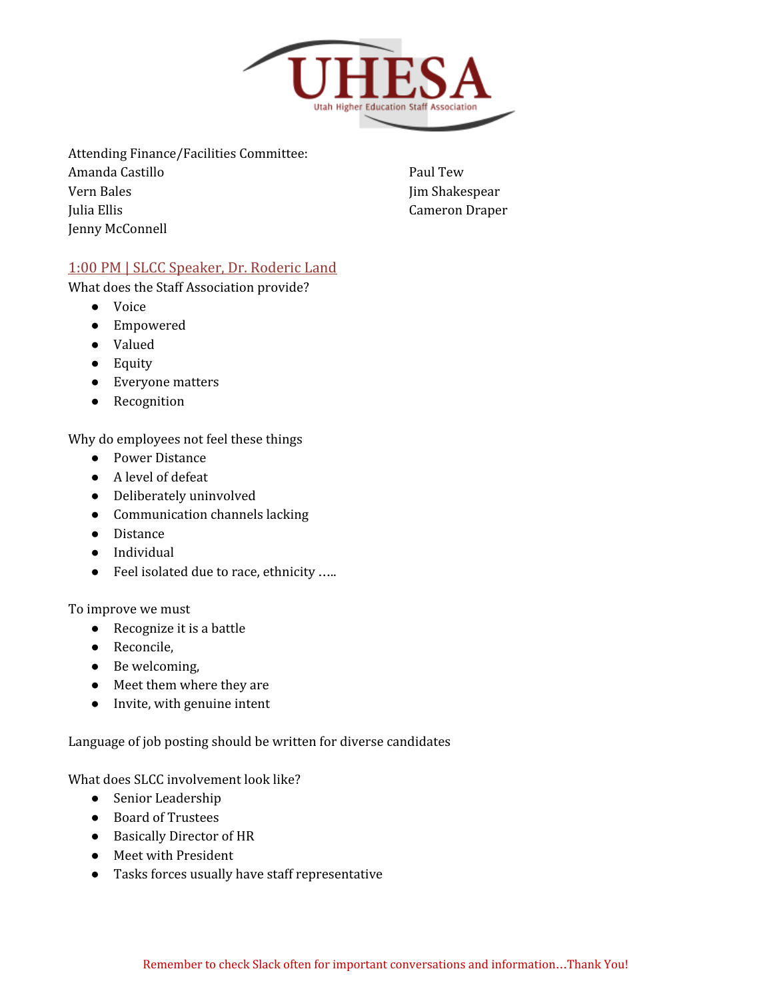

Attending Finance/Facilities Committee:

Amanda Castillo Vern Bales Julia Ellis Jenny McConnell

Paul Tew Jim Shakespear Cameron Draper

## 1:00 PM | SLCC Speaker, Dr. Roderic Land

What does the Staff Association provide?

- Voice
- Empowered
- Valued
- Equity
- Everyone matters
- Recognition

Why do employees not feel these things

- Power Distance
- A level of defeat
- Deliberately uninvolved
- Communication channels lacking
- Distance
- Individual
- Feel isolated due to race, ethnicity .....

To improve we must

- Recognize it is a battle
- Reconcile,
- Be welcoming,
- Meet them where they are
- Invite, with genuine intent

Language of job posting should be written for diverse candidates

What does SLCC involvement look like?

- Senior Leadership
- Board of Trustees
- Basically Director of HR
- Meet with President
- Tasks forces usually have staff representative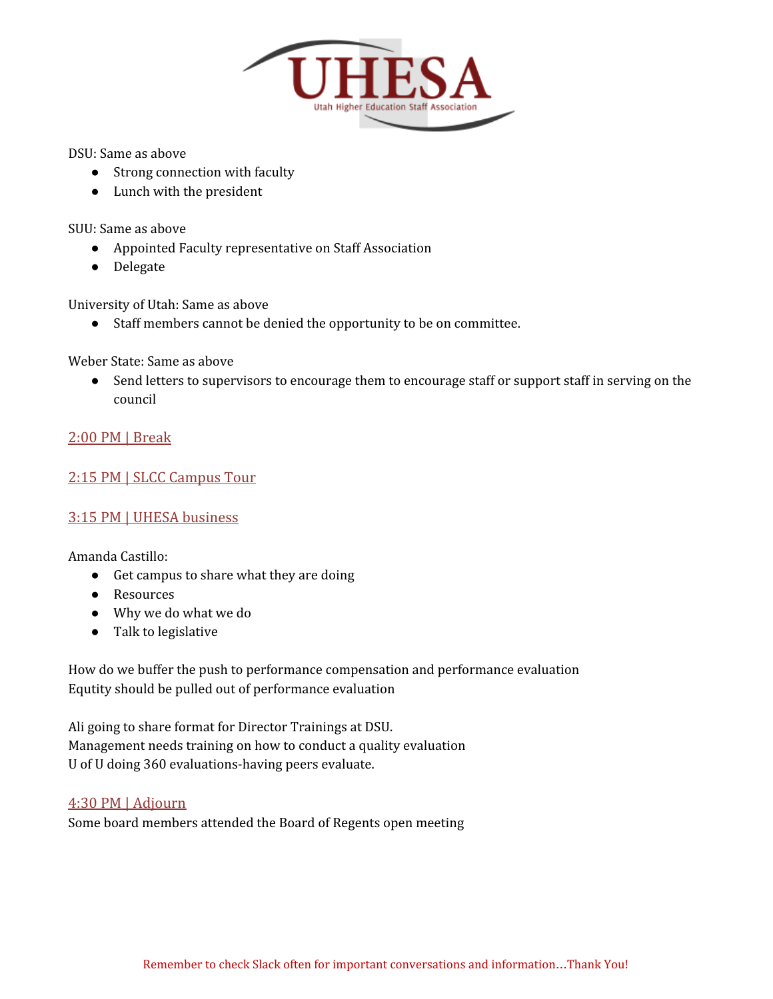

DSU: Same as above

- Strong connection with faculty
- Lunch with the president

SUU: Same as above

- Appointed Faculty representative on Staff Association
- Delegate

University of Utah: Same as above

● Staff members cannot be denied the opportunity to be on committee.

Weber State: Same as above

• Send letters to supervisors to encourage them to encourage staff or support staff in serving on the council

#### 2:00 PM | Break

#### 2:15 PM | SLCC Campus Tour

#### 3:15 PM | UHESA business

Amanda Castillo:

- Get campus to share what they are doing
- Resources
- Why we do what we do
- Talk to legislative

How do we buffer the push to performance compensation and performance evaluation Equtity should be pulled out of performance evaluation

Ali going to share format for Director Trainings at DSU. Management needs training on how to conduct a quality evaluation U of U doing 360 evaluations-having peers evaluate.

#### 4:30 PM | Adjourn

Some board members attended the Board of Regents open meeting